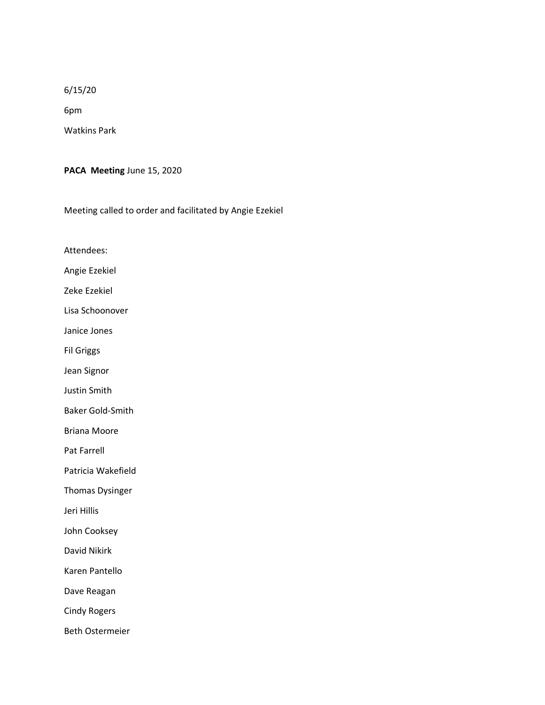## 6/15/20

6pm

Watkins Park

**PACA Meeting** June 15, 2020

Meeting called to order and facilitated by Angie Ezekiel

Attendees:

Angie Ezekiel

Zeke Ezekiel

Lisa Schoonover

Janice Jones

Fil Griggs

Jean Signor

Justin Smith

Baker Gold-Smith

Briana Moore

Pat Farrell

Patricia Wakefield

Thomas Dysinger

Jeri Hillis

John Cooksey

David Nikirk

Karen Pantello

Dave Reagan

Cindy Rogers

Beth Ostermeier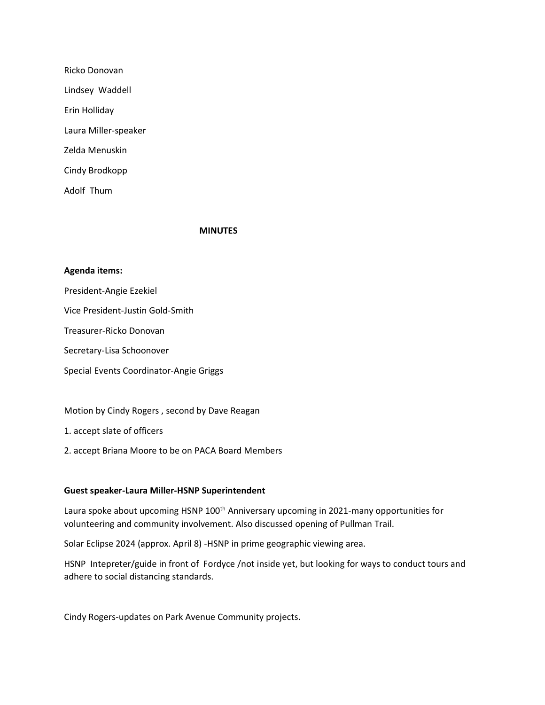| Ricko Donovan        |
|----------------------|
| Lindsey Waddell      |
| Erin Holliday        |
| Laura Miller-speaker |
| Zelda Menuskin       |
| Cindy Brodkopp       |
| Adolf Thum           |

## **MINUTES**

## **Agenda items:**

President-Angie Ezekiel

Vice President-Justin Gold-Smith

Treasurer-Ricko Donovan

Secretary-Lisa Schoonover

Special Events Coordinator-Angie Griggs

Motion by Cindy Rogers , second by Dave Reagan

1. accept slate of officers

2. accept Briana Moore to be on PACA Board Members

## **Guest speaker-Laura Miller-HSNP Superintendent**

Laura spoke about upcoming HSNP 100<sup>th</sup> Anniversary upcoming in 2021-many opportunities for volunteering and community involvement. Also discussed opening of Pullman Trail.

Solar Eclipse 2024 (approx. April 8) -HSNP in prime geographic viewing area.

HSNP Intepreter/guide in front of Fordyce /not inside yet, but looking for ways to conduct tours and adhere to social distancing standards.

Cindy Rogers-updates on Park Avenue Community projects.